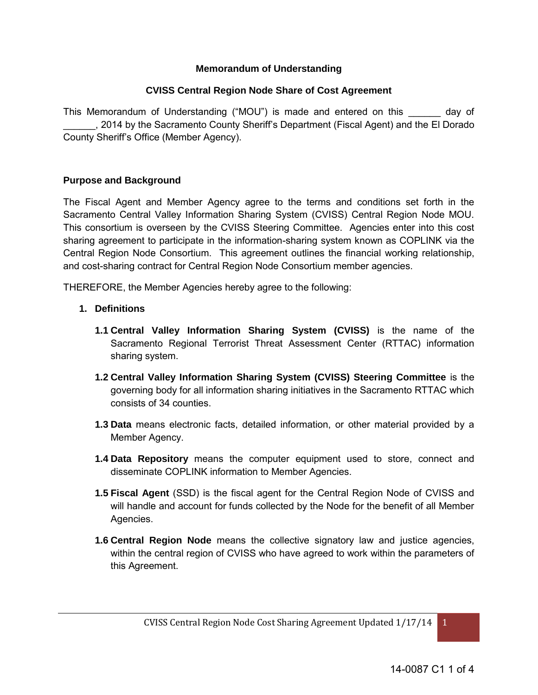### **Memorandum of Understanding**

#### **CVISS Central Region Node Share of Cost Agreement**

This Memorandum of Understanding ("MOU") is made and entered on this \_\_\_\_\_\_ day of \_\_\_\_\_\_, 2014 by the Sacramento County Sheriff's Department (Fiscal Agent) and the El Dorado County Sheriff's Office (Member Agency).

#### **Purpose and Background**

The Fiscal Agent and Member Agency agree to the terms and conditions set forth in the Sacramento Central Valley Information Sharing System (CVISS) Central Region Node MOU. This consortium is overseen by the CVISS Steering Committee. Agencies enter into this cost sharing agreement to participate in the information-sharing system known as COPLINK via the Central Region Node Consortium. This agreement outlines the financial working relationship, and cost-sharing contract for Central Region Node Consortium member agencies.

THEREFORE, the Member Agencies hereby agree to the following:

- **1. Definitions**
	- **1.1 Central Valley Information Sharing System (CVISS)** is the name of the Sacramento Regional Terrorist Threat Assessment Center (RTTAC) information sharing system.
	- **1.2 Central Valley Information Sharing System (CVISS) Steering Committee** is the governing body for all information sharing initiatives in the Sacramento RTTAC which consists of 34 counties.
	- **1.3 Data** means electronic facts, detailed information, or other material provided by a Member Agency.
	- **1.4 Data Repository** means the computer equipment used to store, connect and disseminate COPLINK information to Member Agencies.
	- **1.5 Fiscal Agent** (SSD) is the fiscal agent for the Central Region Node of CVISS and will handle and account for funds collected by the Node for the benefit of all Member Agencies.
	- **1.6 Central Region Node** means the collective signatory law and justice agencies, within the central region of CVISS who have agreed to work within the parameters of this Agreement.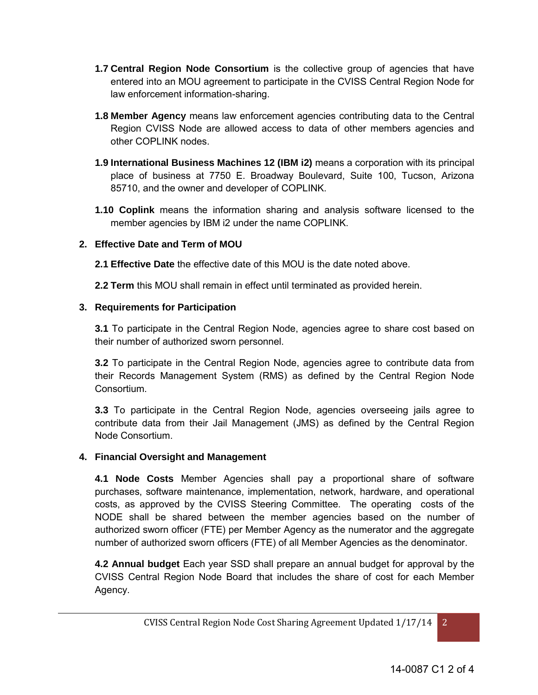- **1.7 Central Region Node Consortium** is the collective group of agencies that have entered into an MOU agreement to participate in the CVISS Central Region Node for law enforcement information-sharing.
- **1.8 Member Agency** means law enforcement agencies contributing data to the Central Region CVISS Node are allowed access to data of other members agencies and other COPLINK nodes.
- **1.9 International Business Machines 12 (IBM i2)** means a corporation with its principal place of business at 7750 E. Broadway Boulevard, Suite 100, Tucson, Arizona 85710, and the owner and developer of COPLINK.
- **1.10 Coplink** means the information sharing and analysis software licensed to the member agencies by IBM i2 under the name COPLINK.

# **2. Effective Date and Term of MOU**

- **2.1 Effective Date** the effective date of this MOU is the date noted above.
- **2.2 Term** this MOU shall remain in effect until terminated as provided herein.

# **3. Requirements for Participation**

**3.1** To participate in the Central Region Node, agencies agree to share cost based on their number of authorized sworn personnel.

**3.2** To participate in the Central Region Node, agencies agree to contribute data from their Records Management System (RMS) as defined by the Central Region Node Consortium.

**3.3** To participate in the Central Region Node, agencies overseeing jails agree to contribute data from their Jail Management (JMS) as defined by the Central Region Node Consortium.

## **4. Financial Oversight and Management**

 **4.1 Node Costs** Member Agencies shall pay a proportional share of software purchases, software maintenance, implementation, network, hardware, and operational costs, as approved by the CVISS Steering Committee. The operating costs of the NODE shall be shared between the member agencies based on the number of authorized sworn officer (FTE) per Member Agency as the numerator and the aggregate number of authorized sworn officers (FTE) of all Member Agencies as the denominator.

 **4.2 Annual budget** Each year SSD shall prepare an annual budget for approval by the CVISS Central Region Node Board that includes the share of cost for each Member Agency.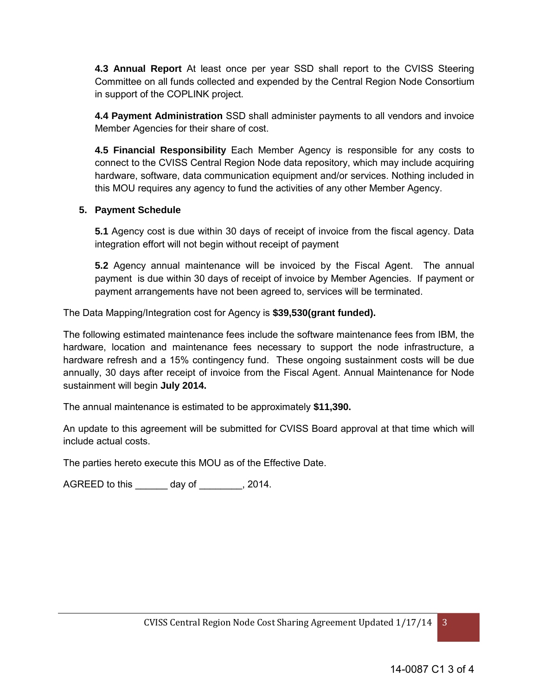**4.3 Annual Report** At least once per year SSD shall report to the CVISS Steering Committee on all funds collected and expended by the Central Region Node Consortium in support of the COPLINK project.

**4.4 Payment Administration** SSD shall administer payments to all vendors and invoice Member Agencies for their share of cost.

**4.5 Financial Responsibility** Each Member Agency is responsible for any costs to connect to the CVISS Central Region Node data repository, which may include acquiring hardware, software, data communication equipment and/or services. Nothing included in this MOU requires any agency to fund the activities of any other Member Agency.

## **5. Payment Schedule**

**5.1** Agency cost is due within 30 days of receipt of invoice from the fiscal agency. Data integration effort will not begin without receipt of payment

**5.2** Agency annual maintenance will be invoiced by the Fiscal Agent. The annual payment is due within 30 days of receipt of invoice by Member Agencies. If payment or payment arrangements have not been agreed to, services will be terminated.

The Data Mapping/Integration cost for Agency is **\$39,530(grant funded).** 

The following estimated maintenance fees include the software maintenance fees from IBM, the hardware, location and maintenance fees necessary to support the node infrastructure, a hardware refresh and a 15% contingency fund. These ongoing sustainment costs will be due annually, 30 days after receipt of invoice from the Fiscal Agent. Annual Maintenance for Node sustainment will begin **July 2014.** 

The annual maintenance is estimated to be approximately **\$11,390.** 

An update to this agreement will be submitted for CVISS Board approval at that time which will include actual costs.

The parties hereto execute this MOU as of the Effective Date.

AGREED to this \_\_\_\_\_\_ day of \_\_\_\_\_\_\_\_, 2014.